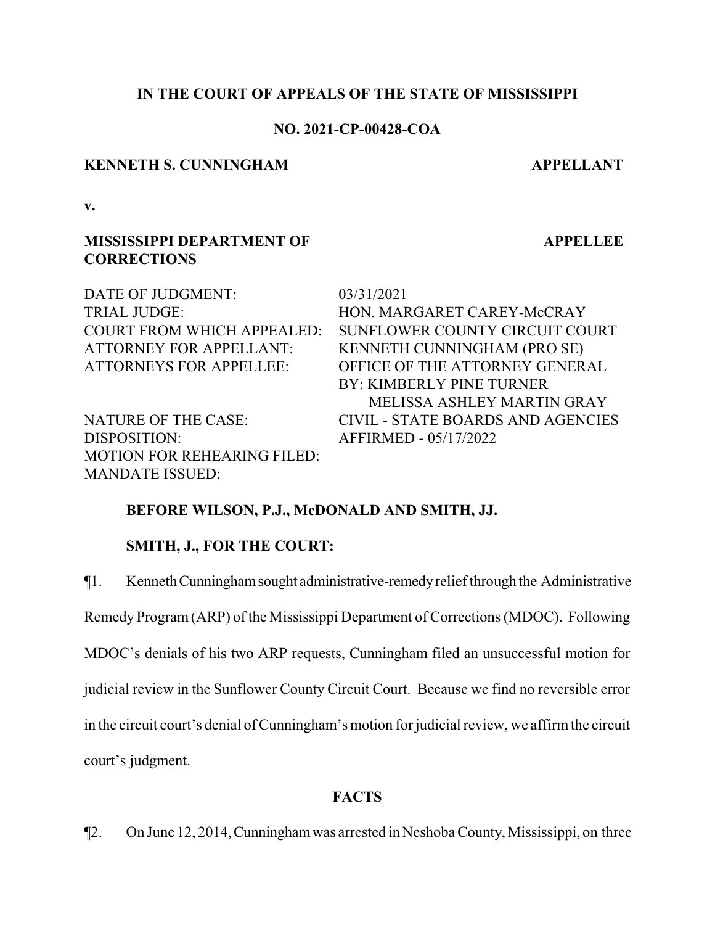## **IN THE COURT OF APPEALS OF THE STATE OF MISSISSIPPI**

## **NO. 2021-CP-00428-COA**

#### **KENNETH S. CUNNINGHAM APPELLANT**

**v.**

# **MISSISSIPPI DEPARTMENT OF CORRECTIONS**

**APPELLEE**

DATE OF JUDGMENT: 03/31/2021

DISPOSITION: AFFIRMED - 05/17/2022 MOTION FOR REHEARING FILED: MANDATE ISSUED:

TRIAL JUDGE: HON. MARGARET CAREY-McCRAY COURT FROM WHICH APPEALED: SUNFLOWER COUNTY CIRCUIT COURT ATTORNEY FOR APPELLANT: KENNETH CUNNINGHAM (PRO SE) ATTORNEYS FOR APPELLEE: OFFICE OF THE ATTORNEY GENERAL BY: KIMBERLY PINE TURNER MELISSA ASHLEY MARTIN GRAY NATURE OF THE CASE: CIVIL - STATE BOARDS AND AGENCIES

## **BEFORE WILSON, P.J., McDONALD AND SMITH, JJ.**

## **SMITH, J., FOR THE COURT:**

¶1. KennethCunninghamsought administrative-remedyreliefthrough the Administrative

Remedy Program(ARP) of the Mississippi Department of Corrections (MDOC). Following

MDOC's denials of his two ARP requests, Cunningham filed an unsuccessful motion for

judicial review in the Sunflower County Circuit Court. Because we find no reversible error

in the circuit court's denial of Cunningham's motion for judicial review, we affirmthe circuit

court's judgment.

## **FACTS**

¶2. On June 12, 2014,Cunninghamwas arrested in Neshoba County, Mississippi, on three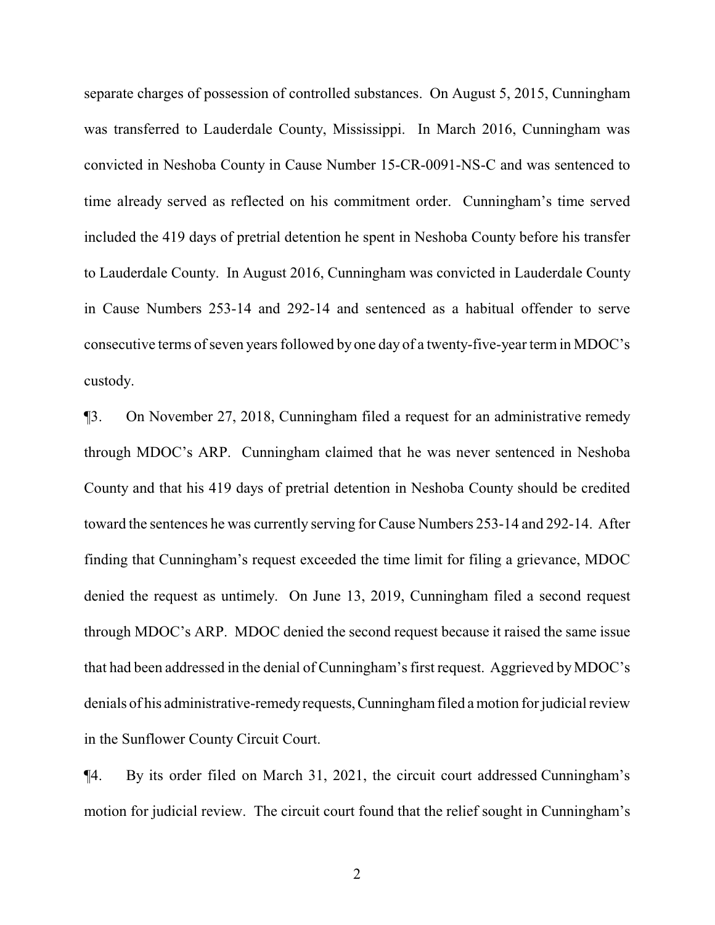separate charges of possession of controlled substances. On August 5, 2015, Cunningham was transferred to Lauderdale County, Mississippi. In March 2016, Cunningham was convicted in Neshoba County in Cause Number 15-CR-0091-NS-C and was sentenced to time already served as reflected on his commitment order. Cunningham's time served included the 419 days of pretrial detention he spent in Neshoba County before his transfer to Lauderdale County. In August 2016, Cunningham was convicted in Lauderdale County in Cause Numbers 253-14 and 292-14 and sentenced as a habitual offender to serve consecutive terms of seven years followed by one day of a twenty-five-year term in MDOC's custody.

¶3. On November 27, 2018, Cunningham filed a request for an administrative remedy through MDOC's ARP. Cunningham claimed that he was never sentenced in Neshoba County and that his 419 days of pretrial detention in Neshoba County should be credited toward the sentences he was currently serving for Cause Numbers 253-14 and 292-14. After finding that Cunningham's request exceeded the time limit for filing a grievance, MDOC denied the request as untimely. On June 13, 2019, Cunningham filed a second request through MDOC's ARP. MDOC denied the second request because it raised the same issue that had been addressed in the denial of Cunningham's first request. Aggrieved byMDOC's denials of his administrative-remedyrequests,Cunninghamfiled a motion for judicial review in the Sunflower County Circuit Court.

¶4. By its order filed on March 31, 2021, the circuit court addressed Cunningham's motion for judicial review. The circuit court found that the relief sought in Cunningham's

2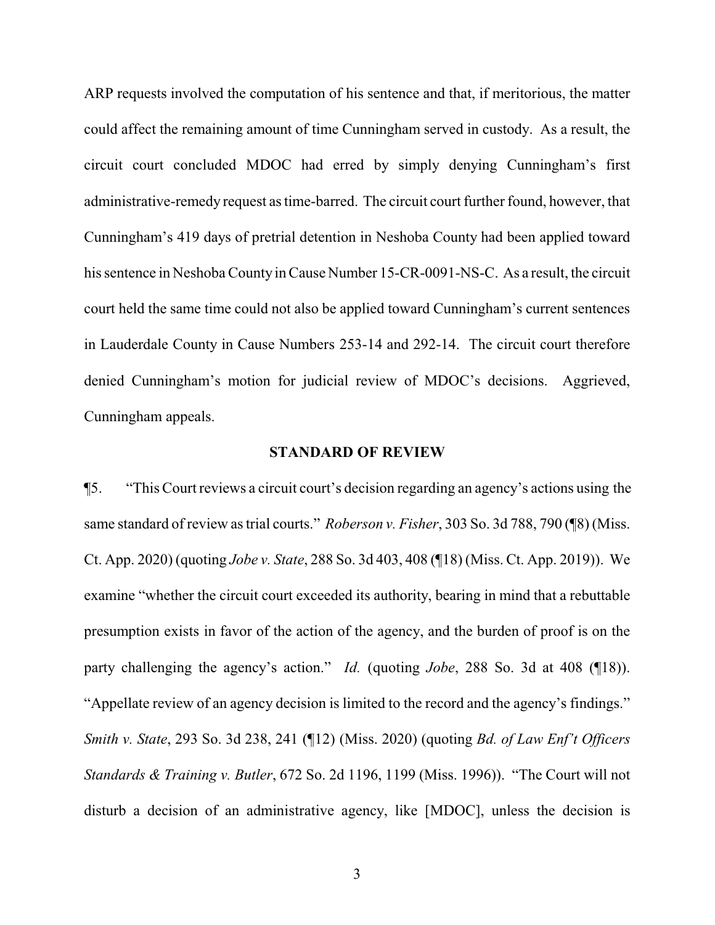ARP requests involved the computation of his sentence and that, if meritorious, the matter could affect the remaining amount of time Cunningham served in custody. As a result, the circuit court concluded MDOC had erred by simply denying Cunningham's first administrative-remedy request as time-barred. The circuit court further found, however, that Cunningham's 419 days of pretrial detention in Neshoba County had been applied toward his sentence in Neshoba County in Cause Number 15-CR-0091-NS-C. As a result, the circuit court held the same time could not also be applied toward Cunningham's current sentences in Lauderdale County in Cause Numbers 253-14 and 292-14. The circuit court therefore denied Cunningham's motion for judicial review of MDOC's decisions. Aggrieved, Cunningham appeals.

#### **STANDARD OF REVIEW**

¶5. "This Court reviews a circuit court's decision regarding an agency's actions using the same standard of review as trial courts." *Roberson v. Fisher*, 303 So. 3d 788, 790 (¶8) (Miss. Ct. App. 2020) (quoting *Jobe v. State*, 288 So. 3d 403, 408 (¶18) (Miss. Ct. App. 2019)). We examine "whether the circuit court exceeded its authority, bearing in mind that a rebuttable presumption exists in favor of the action of the agency, and the burden of proof is on the party challenging the agency's action." *Id.* (quoting *Jobe*, 288 So. 3d at 408 (¶18)). "Appellate review of an agency decision is limited to the record and the agency's findings." *Smith v. State*, 293 So. 3d 238, 241 (¶12) (Miss. 2020) (quoting *Bd. of Law Enf't Officers Standards & Training v. Butler*, 672 So. 2d 1196, 1199 (Miss. 1996)). "The Court will not disturb a decision of an administrative agency, like [MDOC], unless the decision is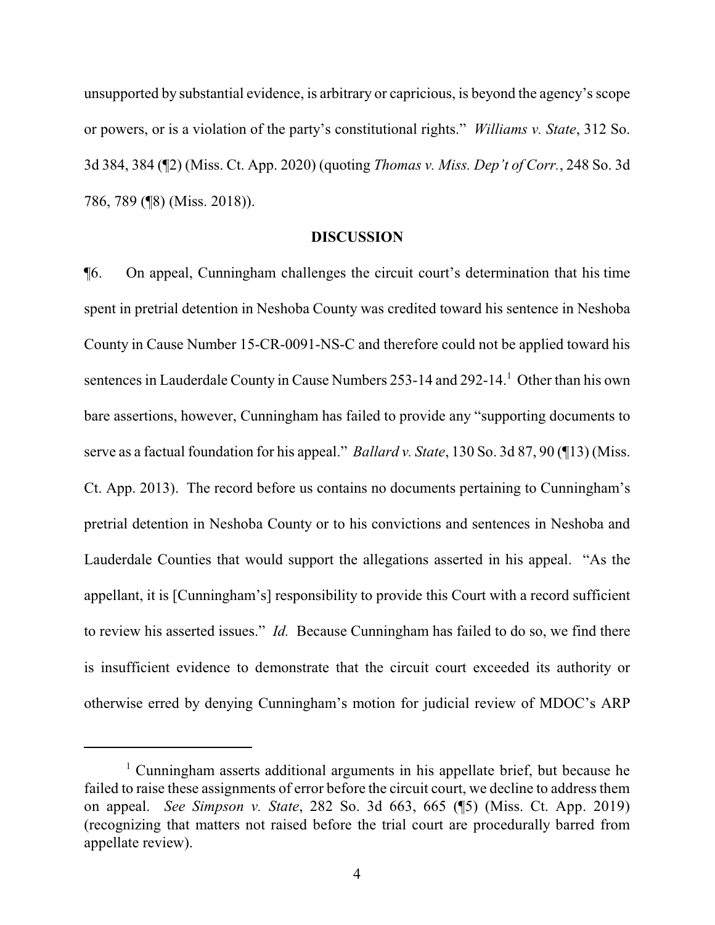unsupported by substantial evidence, is arbitrary or capricious, is beyond the agency's scope or powers, or is a violation of the party's constitutional rights." *Williams v. State*, 312 So. 3d 384, 384 (¶2) (Miss. Ct. App. 2020) (quoting *Thomas v. Miss. Dep't of Corr.*, 248 So. 3d 786, 789 (¶8) (Miss. 2018)).

#### **DISCUSSION**

¶6. On appeal, Cunningham challenges the circuit court's determination that his time spent in pretrial detention in Neshoba County was credited toward his sentence in Neshoba County in Cause Number 15-CR-0091-NS-C and therefore could not be applied toward his sentences in Lauderdale County in Cause Numbers 253-14 and 292-14.<sup>1</sup> Other than his own bare assertions, however, Cunningham has failed to provide any "supporting documents to serve as a factual foundation for his appeal." *Ballard v. State*, 130 So. 3d 87, 90 (¶13) (Miss. Ct. App. 2013). The record before us contains no documents pertaining to Cunningham's pretrial detention in Neshoba County or to his convictions and sentences in Neshoba and Lauderdale Counties that would support the allegations asserted in his appeal. "As the appellant, it is [Cunningham's] responsibility to provide this Court with a record sufficient to review his asserted issues." *Id.* Because Cunningham has failed to do so, we find there is insufficient evidence to demonstrate that the circuit court exceeded its authority or otherwise erred by denying Cunningham's motion for judicial review of MDOC's ARP

<sup>&</sup>lt;sup>1</sup> Cunningham asserts additional arguments in his appellate brief, but because he failed to raise these assignments of error before the circuit court, we decline to address them on appeal. *See Simpson v. State*, 282 So. 3d 663, 665 (¶5) (Miss. Ct. App. 2019) (recognizing that matters not raised before the trial court are procedurally barred from appellate review).